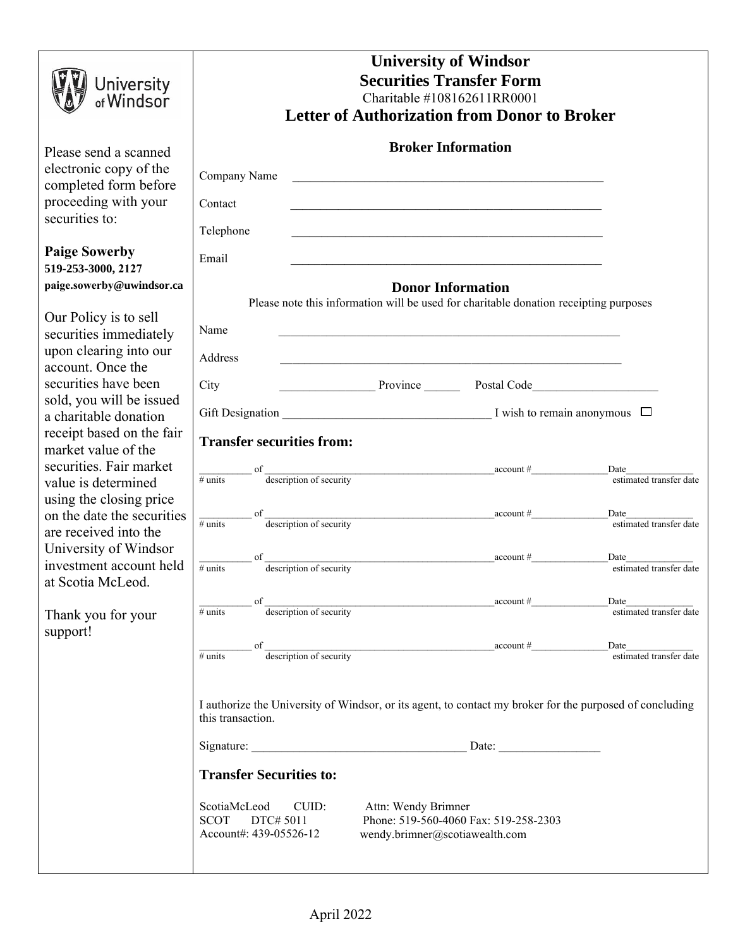| <b>University</b><br>of <b>Windsor</b>                                                                             | <b>University of Windsor</b><br><b>Securities Transfer Form</b><br>Charitable #108162611RR0001<br><b>Letter of Authorization from Donor to Broker</b>                         |               |                                                                                                                                     |                                                                                                                                                                                                                                                                              |                                         |  |
|--------------------------------------------------------------------------------------------------------------------|-------------------------------------------------------------------------------------------------------------------------------------------------------------------------------|---------------|-------------------------------------------------------------------------------------------------------------------------------------|------------------------------------------------------------------------------------------------------------------------------------------------------------------------------------------------------------------------------------------------------------------------------|-----------------------------------------|--|
|                                                                                                                    |                                                                                                                                                                               |               |                                                                                                                                     |                                                                                                                                                                                                                                                                              |                                         |  |
| Please send a scanned<br>electronic copy of the<br>completed form before<br>proceeding with your<br>securities to: | Company Name<br>Contact                                                                                                                                                       |               |                                                                                                                                     | <b>Broker Information</b><br><u> 1989 - Johann John Harry Harry Harry Harry Harry Harry Harry Harry Harry Harry Harry Harry Harry Harry Harry H</u><br><u> 1989 - Johann John Stone, markin sanadi ya kutoka mwaka wa 1989 - Amerika mwaka wa 1989 - Amerika mwaka wa 19</u> |                                         |  |
|                                                                                                                    | Telephone                                                                                                                                                                     |               |                                                                                                                                     | <u> 1989 - Johann John Stone, markin film yn y brening yn y brening yn y brening yn y brening yn y brening yn y b</u>                                                                                                                                                        |                                         |  |
| <b>Paige Sowerby</b><br>519-253-3000, 2127                                                                         | Email                                                                                                                                                                         |               |                                                                                                                                     |                                                                                                                                                                                                                                                                              |                                         |  |
| paige.sowerby@uwindsor.ca                                                                                          | <b>Donor Information</b>                                                                                                                                                      |               |                                                                                                                                     |                                                                                                                                                                                                                                                                              |                                         |  |
| Our Policy is to sell<br>securities immediately<br>upon clearing into our                                          | Name                                                                                                                                                                          |               |                                                                                                                                     | Please note this information will be used for charitable donation receipting purposes                                                                                                                                                                                        |                                         |  |
| account. Once the                                                                                                  | Address                                                                                                                                                                       |               |                                                                                                                                     | <u> 1999 - Jan James James James James James James James James James James James James James James James James J</u>                                                                                                                                                         |                                         |  |
| securities have been                                                                                               | City                                                                                                                                                                          |               |                                                                                                                                     |                                                                                                                                                                                                                                                                              |                                         |  |
| sold, you will be issued                                                                                           |                                                                                                                                                                               |               |                                                                                                                                     | Province Postal Code                                                                                                                                                                                                                                                         |                                         |  |
| a charitable donation                                                                                              |                                                                                                                                                                               |               |                                                                                                                                     |                                                                                                                                                                                                                                                                              |                                         |  |
| receipt based on the fair<br>market value of the                                                                   | <b>Transfer securities from:</b>                                                                                                                                              |               |                                                                                                                                     |                                                                                                                                                                                                                                                                              |                                         |  |
| securities. Fair market                                                                                            |                                                                                                                                                                               | of            |                                                                                                                                     |                                                                                                                                                                                                                                                                              | Date<br>Date<br>estimated transfer date |  |
| value is determined                                                                                                | $#$ units                                                                                                                                                                     |               |                                                                                                                                     |                                                                                                                                                                                                                                                                              |                                         |  |
| using the closing price                                                                                            |                                                                                                                                                                               |               |                                                                                                                                     |                                                                                                                                                                                                                                                                              |                                         |  |
| on the date the securities                                                                                         | $#$ units                                                                                                                                                                     | <sup>of</sup> |                                                                                                                                     |                                                                                                                                                                                                                                                                              | Date                                    |  |
| are received into the                                                                                              |                                                                                                                                                                               |               |                                                                                                                                     |                                                                                                                                                                                                                                                                              |                                         |  |
| University of Windsor<br>investment account held                                                                   |                                                                                                                                                                               | <sup>of</sup> | $\frac{1}{\sqrt{1-\frac{1}{2}}\sqrt{1-\frac{1}{2}}\sqrt{1-\frac{1}{2}}\sqrt{1-\frac{1}{2}}\sqrt{1-\frac{1}{2}}\sqrt{1-\frac{1}{2}}$ | account #                                                                                                                                                                                                                                                                    | Date                                    |  |
|                                                                                                                    | $#$ units                                                                                                                                                                     |               |                                                                                                                                     |                                                                                                                                                                                                                                                                              | estimated transfer date                 |  |
| at Scotia McLeod.                                                                                                  |                                                                                                                                                                               |               |                                                                                                                                     |                                                                                                                                                                                                                                                                              |                                         |  |
|                                                                                                                    | $#$ units                                                                                                                                                                     |               |                                                                                                                                     | $\frac{1}{2}$ description of security                                                                                                                                                                                                                                        | Date<br>estimated transfer date         |  |
| Thank you for your<br>support!                                                                                     |                                                                                                                                                                               |               |                                                                                                                                     |                                                                                                                                                                                                                                                                              |                                         |  |
|                                                                                                                    |                                                                                                                                                                               |               |                                                                                                                                     | $\frac{1}{2}$ description of security                                                                                                                                                                                                                                        |                                         |  |
|                                                                                                                    | $#$ units                                                                                                                                                                     |               |                                                                                                                                     |                                                                                                                                                                                                                                                                              | Date<br>estimated transfer date         |  |
|                                                                                                                    |                                                                                                                                                                               |               |                                                                                                                                     |                                                                                                                                                                                                                                                                              |                                         |  |
|                                                                                                                    | I authorize the University of Windsor, or its agent, to contact my broker for the purposed of concluding<br>this transaction.                                                 |               |                                                                                                                                     |                                                                                                                                                                                                                                                                              |                                         |  |
|                                                                                                                    |                                                                                                                                                                               |               |                                                                                                                                     |                                                                                                                                                                                                                                                                              |                                         |  |
|                                                                                                                    | <b>Transfer Securities to:</b>                                                                                                                                                |               |                                                                                                                                     |                                                                                                                                                                                                                                                                              |                                         |  |
|                                                                                                                    |                                                                                                                                                                               |               |                                                                                                                                     |                                                                                                                                                                                                                                                                              |                                         |  |
|                                                                                                                    | ScotiaMcLeod<br>CUID:<br>Attn: Wendy Brimner<br>Phone: 519-560-4060 Fax: 519-258-2303<br><b>SCOT</b><br>DTC# 5011<br>Account#: 439-05526-12<br>wendy.brimner@scotiawealth.com |               |                                                                                                                                     |                                                                                                                                                                                                                                                                              |                                         |  |
|                                                                                                                    |                                                                                                                                                                               |               |                                                                                                                                     |                                                                                                                                                                                                                                                                              |                                         |  |